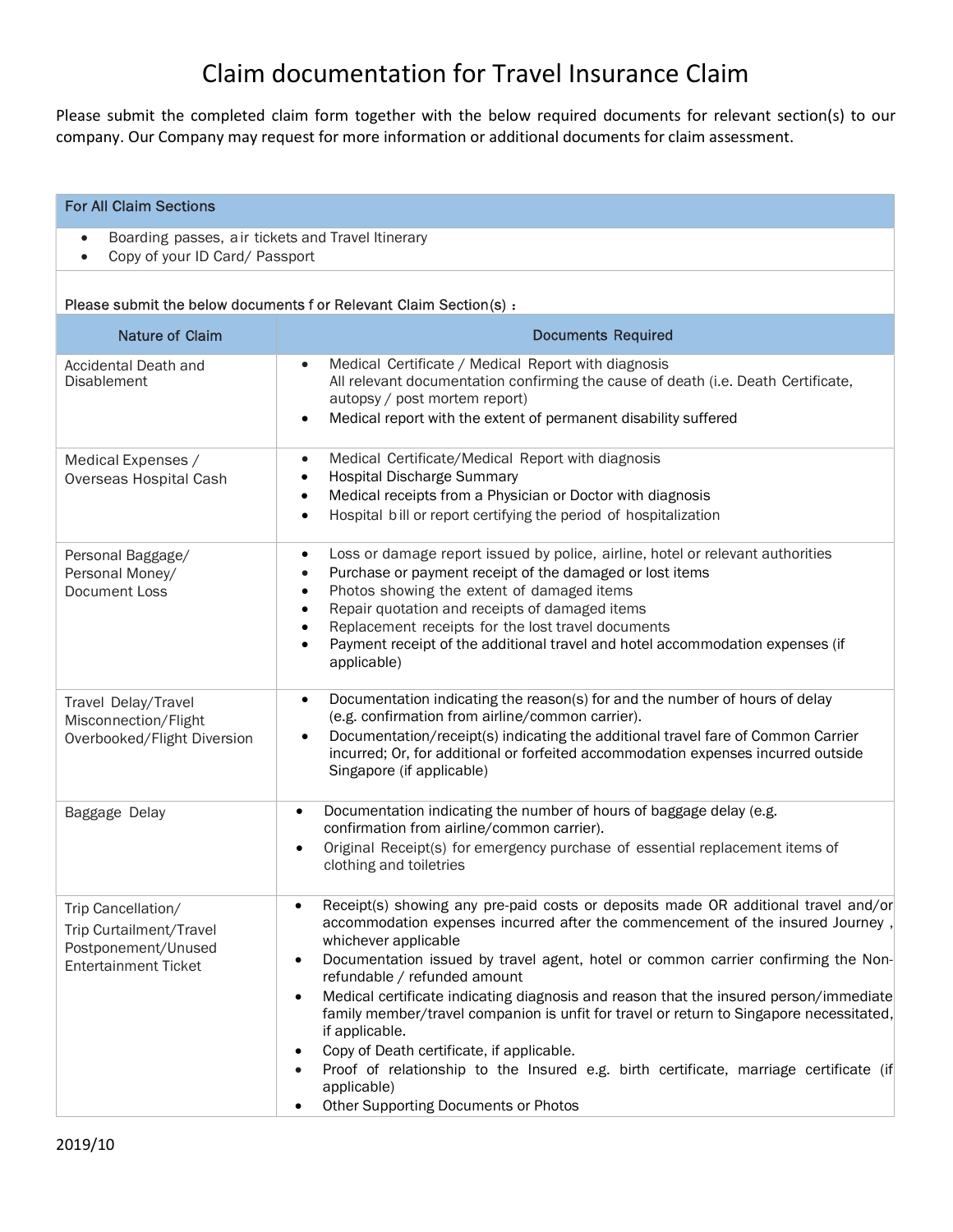## Claim documentation for Travel Insurance Claim

Please submit the completed claim form together with the below required documents for relevant section(s) to our company. Our Company may request for more information or additional documents for claim assessment.

## For All Claim Sections

- Boarding passes, air tickets and Travel Itinerary
- Copy of your ID Card/ Passport

## Please submit the below documents f or Relevant Claim Section(s) :

| Please submit the below documents For Relevant Claim Section(s):                                    |                                                                                                                                                                                                                                                                                                                                                                                                                                                                                                                                                                                                                                                                                                                                                |  |
|-----------------------------------------------------------------------------------------------------|------------------------------------------------------------------------------------------------------------------------------------------------------------------------------------------------------------------------------------------------------------------------------------------------------------------------------------------------------------------------------------------------------------------------------------------------------------------------------------------------------------------------------------------------------------------------------------------------------------------------------------------------------------------------------------------------------------------------------------------------|--|
| <b>Nature of Claim</b>                                                                              | <b>Documents Required</b>                                                                                                                                                                                                                                                                                                                                                                                                                                                                                                                                                                                                                                                                                                                      |  |
| Accidental Death and<br><b>Disablement</b>                                                          | Medical Certificate / Medical Report with diagnosis<br>$\bullet$<br>All relevant documentation confirming the cause of death (i.e. Death Certificate,<br>autopsy / post mortem report)<br>Medical report with the extent of permanent disability suffered<br>$\bullet$                                                                                                                                                                                                                                                                                                                                                                                                                                                                         |  |
| Medical Expenses /<br>Overseas Hospital Cash                                                        | Medical Certificate/Medical Report with diagnosis<br>$\bullet$<br><b>Hospital Discharge Summary</b><br>$\bullet$<br>Medical receipts from a Physician or Doctor with diagnosis<br>$\bullet$<br>Hospital bill or report certifying the period of hospitalization<br>$\bullet$                                                                                                                                                                                                                                                                                                                                                                                                                                                                   |  |
| Personal Baggage/<br>Personal Money/<br>Document Loss                                               | Loss or damage report issued by police, airline, hotel or relevant authorities<br>$\bullet$<br>Purchase or payment receipt of the damaged or lost items<br>$\bullet$<br>Photos showing the extent of damaged items<br>$\bullet$<br>Repair quotation and receipts of damaged items<br>$\bullet$<br>Replacement receipts for the lost travel documents<br>$\bullet$<br>Payment receipt of the additional travel and hotel accommodation expenses (if<br>$\bullet$<br>applicable)                                                                                                                                                                                                                                                                 |  |
| Travel Delay/Travel<br>Misconnection/Flight<br>Overbooked/Flight Diversion                          | Documentation indicating the reason(s) for and the number of hours of delay<br>$\bullet$<br>(e.g. confirmation from airline/common carrier).<br>Documentation/receipt(s) indicating the additional travel fare of Common Carrier<br>incurred; Or, for additional or forfeited accommodation expenses incurred outside<br>Singapore (if applicable)                                                                                                                                                                                                                                                                                                                                                                                             |  |
| Baggage Delay                                                                                       | Documentation indicating the number of hours of baggage delay (e.g.<br>$\bullet$<br>confirmation from airline/common carrier).<br>Original Receipt(s) for emergency purchase of essential replacement items of<br>clothing and toiletries                                                                                                                                                                                                                                                                                                                                                                                                                                                                                                      |  |
| Trip Cancellation/<br>Trip Curtailment/Travel<br>Postponement/Unused<br><b>Entertainment Ticket</b> | Receipt(s) showing any pre-paid costs or deposits made OR additional travel and/or<br>$\bullet$<br>accommodation expenses incurred after the commencement of the insured Journey,<br>whichever applicable<br>Documentation issued by travel agent, hotel or common carrier confirming the Non-<br>$\bullet$<br>refundable / refunded amount<br>Medical certificate indicating diagnosis and reason that the insured person/immediate<br>family member/travel companion is unfit for travel or return to Singapore necessitated,<br>if applicable.<br>Copy of Death certificate, if applicable.<br>Proof of relationship to the Insured e.g. birth certificate, marriage certificate (if<br>applicable)<br>Other Supporting Documents or Photos |  |